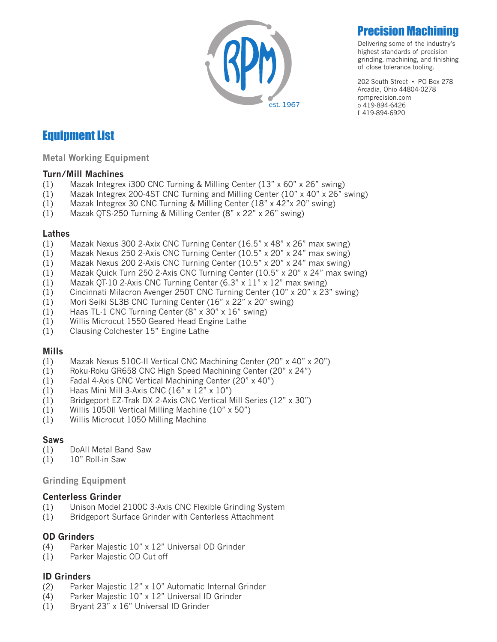

# **Precision Machini**

Delivering some of the industry's highest standards of precision grinding, machining, and finishing of close tolerance tooling.

202 South Street • PO Box 278 Arcadia, Ohio 44804-0278 rpmprecision.com o 419-894-6426 f 419-894-6920

# Equipment List

**Metal Working Equipment**

#### **Turn/Mill Machines**

- (1) Mazak Integrex i300 CNC Turning & Milling Center (13" x 60" x 26" swing)
- (1) Mazak Integrex 200-4ST CNC Turning and Milling Center (10" x 40" x 26" swing)
- (1) Mazak Integrex 30 CNC Turning & Milling Center (18" x 42"x 20" swing)
- (1) Mazak QTS-250 Turning & Milling Center (8" x 22" x 26" swing)

#### **Lathes**

- (1) Mazak Nexus 300 2-Axix CNC Turning Center (16.5" x 48" x 26" max swing)
- (1) Mazak Nexus 250 2-Axis CNC Turning Center (10.5" x 20" x 24" max swing)
- (1) Mazak Nexus 200 2-Axis CNC Turning Center (10.5" x 20" x 24" max swing)
- (1) Mazak Quick Turn 250 2-Axis CNC Turning Center (10.5" x 20" x 24" max swing)
- (1) Mazak QT-10 2-Axis CNC Turning Center (6.3" x 11" x 12" max swing)
- (1) Cincinnati Milacron Avenger 250T CNC Turning Center (10" x 20" x 23" swing)
- (1) Mori Seiki SL3B CNC Turning Center (16" x 22" x 20" swing)
- (1) Haas TL-1 CNC Turning Center (8" x 30" x 16" swing)
- (1) Willis Microcut 1550 Geared Head Engine Lathe
- (1) Clausing Colchester 15" Engine Lathe

#### **Mills**

- (1) Mazak Nexus 510C-II Vertical CNC Machining Center (20" x 40" x 20")
- (1) Roku-Roku GR658 CNC High Speed Machining Center (20" x 24")
- (1) Fadal 4-Axis CNC Vertical Machining Center (20" x 40")
- (1) Haas Mini Mill 3-Axis CNC (16" x 12" x 10")
- (1) Bridgeport EZ-Trak DX 2-Axis CNC Vertical Mill Series (12" x 30")
- (1) Willis 1050II Vertical Milling Machine (10" x 50")
- (1) Willis Microcut 1050 Milling Machine

#### **Saws**

- (1) DoAll Metal Band Saw
- (1) 10" Roll-in Saw

#### **Grinding Equipment**

#### **Centerless Grinder**

- (1) Unison Model 2100C 3-Axis CNC Flexible Grinding System
- (1) Bridgeport Surface Grinder with Centerless Attachment

#### **OD Grinders**

- (4) Parker Majestic 10" x 12" Universal OD Grinder
- (1) Parker Majestic OD Cut off

#### **ID Grinders**

- (2) Parker Majestic 12" x 10" Automatic Internal Grinder
- (4) Parker Majestic 10" x 12" Universal ID Grinder
- (1) Bryant 23" x 16" Universal ID Grinder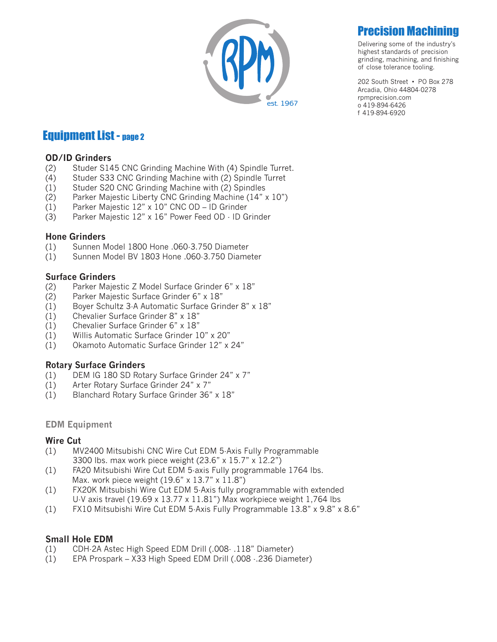

# **Precision Machini**

Delivering some of the industry's highest standards of precision grinding, machining, and finishing of close tolerance tooling.

202 South Street • PO Box 278 Arcadia, Ohio 44804-0278 rpmprecision.com o 419-894-6426 f 419-894-6920

# Equipment List - page 2

#### **OD/ID Grinders**

- (2) Studer S145 CNC Grinding Machine With (4) Spindle Turret.
- (4) Studer S33 CNC Grinding Machine with (2) Spindle Turret
- (1) Studer S20 CNC Grinding Machine with (2) Spindles
- (2) Parker Majestic Liberty CNC Grinding Machine (14" x 10")
- (1) Parker Majestic 12" x 10" CNC OD ID Grinder
- (3) Parker Majestic 12" x 16" Power Feed OD ID Grinder

### **Hone Grinders**

- (1) Sunnen Model 1800 Hone .060-3.750 Diameter
- (1) Sunnen Model BV 1803 Hone .060-3.750 Diameter

### **Surface Grinders**

- (2) Parker Majestic Z Model Surface Grinder 6" x 18"
- (2) Parker Majestic Surface Grinder 6" x 18"
- (1) Boyer Schultz 3-A Automatic Surface Grinder 8" x 18"
- (1) Chevalier Surface Grinder 8" x 18"
- (1) Chevalier Surface Grinder 6" x 18"
- (1) Willis Automatic Surface Grinder 10" x 20"
- (1) Okamoto Automatic Surface Grinder 12" x 24"

#### **Rotary Surface Grinders**

- (1) DEM IG 180 SD Rotary Surface Grinder 24" x 7"
- (1) Arter Rotary Surface Grinder 24" x 7"
- (1) Blanchard Rotary Surface Grinder 36" x 18"

#### **EDM Equipment**

#### **Wire Cut**

- (1) MV2400 Mitsubishi CNC Wire Cut EDM 5-Axis Fully Programmable 3300 lbs. max work piece weight (23.6" x 15.7" x 12.2")
- (1) FA20 Mitsubishi Wire Cut EDM 5-axis Fully programmable 1764 lbs. Max. work piece weight (19.6" x 13.7" x 11.8")
- (1) FX20K Mitsubishi Wire Cut EDM 5-Axis fully programmable with extended U-V axis travel (19.69 x 13.77 x 11.81") Max workpiece weight 1,764 lbs
- (1) FX10 Mitsubishi Wire Cut EDM 5-Axis Fully Programmable 13.8" x 9.8" x 8.6"

## **Small Hole EDM**

- (1) CDH-2A Astec High Speed EDM Drill (.008- .118" Diameter)
- (1) EPA Prospark X33 High Speed EDM Drill (.008 -.236 Diameter)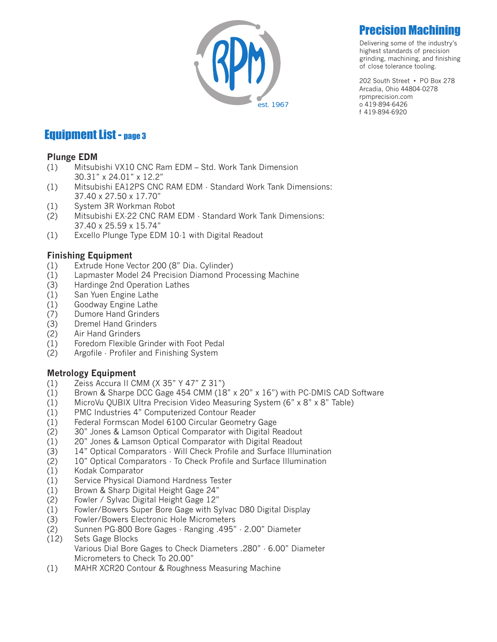

# Precision Machining

Delivering some of the industry's highest standards of precision grinding, machining, and finishing of close tolerance tooling.

202 South Street • PO Box 278 Arcadia, Ohio 44804-0278 rpmprecision.com o 419-894-6426 f 419-894-6920

# **Equipment List - page 3**

### **Plunge EDM**

- (1) Mitsubishi VX10 CNC Ram EDM Std. Work Tank Dimension 30.31" x 24.01" x 12.2"
- (1) Mitsubishi EA12PS CNC RAM EDM Standard Work Tank Dimensions: 37.40 x 27.50 x 17.70"
- (1) System 3R Workman Robot
- (2) Mitsubishi EX-22 CNC RAM EDM Standard Work Tank Dimensions: 37.40 x 25.59 x 15.74"
- (1) Excello Plunge Type EDM 10-1 with Digital Readout

### **Finishing Equipment**

- (1) Extrude Hone Vector 200 (8" Dia. Cylinder)
- (1) Lapmaster Model 24 Precision Diamond Processing Machine
- (3) Hardinge 2nd Operation Lathes
- (1) San Yuen Engine Lathe
- (1) Goodway Engine Lathe
- (7) Dumore Hand Grinders
- (3) Dremel Hand Grinders
- (2) Air Hand Grinders
- (1) Foredom Flexible Grinder with Foot Pedal
- (2) Argofile Profiler and Finishing System

## **Metrology Equipment**

- (1) Zeiss Accura II CMM (X 35" Y 47" Z 31")
- (1) Brown & Sharpe DCC Gage 454 CMM (18" x 20" x 16") with PC-DMIS CAD Software
- (1) MicroVu QUBIX Ultra Precision Video Measuring System (6" x 8" x 8" Table)
- (1) PMC Industries 4" Computerized Contour Reader
- (1) Federal Formscan Model 6100 Circular Geometry Gage
- (2) 30" Jones & Lamson Optical Comparator with Digital Readout
- (1) 20" Jones & Lamson Optical Comparator with Digital Readout
- (3) 14" Optical Comparators Will Check Profile and Surface Illumination
- (2) 10" Optical Comparators To Check Profile and Surface Illumination
- (1) Kodak Comparator
- (1) Service Physical Diamond Hardness Tester
- (1) Brown & Sharp Digital Height Gage 24"
- (2) Fowler / Sylvac Digital Height Gage 12"
- (1) Fowler/Bowers Super Bore Gage with Sylvac D80 Digital Display
- (3) Fowler/Bowers Electronic Hole Micrometers
- (2) Sunnen PG-800 Bore Gages Ranging .495" 2.00" Diameter
- (12) Sets Gage Blocks

 Various Dial Bore Gages to Check Diameters .280" - 6.00" Diameter Micrometers to Check To 20.00"

(1) MAHR XCR20 Contour & Roughness Measuring Machine